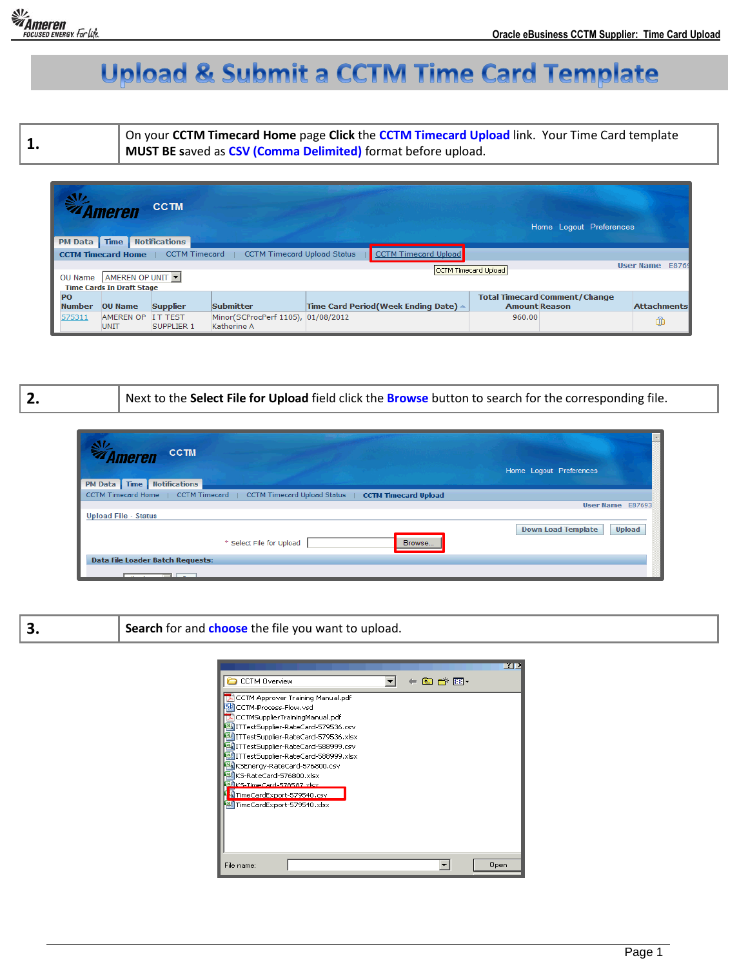

## **Upload & Submit a CCTM Time Card Template**

**1.** On your **CCTM Timecard Home** page **Click** the **CCTM Timecard Upload** link. Your Time Card template **MUST BE s**aved as **CSV (Comma Delimited)** format before upload.

| $\mathbf{N}$   | Imeren                                                                                                         | <b>CCTM</b>          |                                                   |  |                                                |        | Home Logout Preferences              |                    |  |  |  |  |
|----------------|----------------------------------------------------------------------------------------------------------------|----------------------|---------------------------------------------------|--|------------------------------------------------|--------|--------------------------------------|--------------------|--|--|--|--|
| <b>PM Data</b> | <b>Time</b>                                                                                                    | <b>Notifications</b> |                                                   |  |                                                |        |                                      |                    |  |  |  |  |
|                | <b>CCTM Timecard Upload Status</b><br><b>CCTM Timecard Upload</b><br><b>CCTM Timecard Home</b>   CCTM Timecard |                      |                                                   |  |                                                |        |                                      |                    |  |  |  |  |
| OU Name        | <b>User Name</b><br>E8769<br>CCTM Timecard Upload<br>AMEREN OP UNIT<br><b>Time Cards In Draft Stage</b>        |                      |                                                   |  |                                                |        |                                      |                    |  |  |  |  |
| PO             |                                                                                                                |                      |                                                   |  |                                                |        | <b>Total Timecard Comment/Change</b> |                    |  |  |  |  |
| <b>Number</b>  | <b>OU Name</b>                                                                                                 | <b>Supplier</b>      | Submitter                                         |  | Time Card Period(Week Ending Date) $\triangle$ |        | <b>Amount Reason</b>                 | <b>Attachments</b> |  |  |  |  |
| 575311         | AMEREN OP IT TEST<br><b>UNIT</b>                                                                               | <b>SUPPLIER 1</b>    | Minor(SCProcPerf 1105), 01/08/2012<br>Katherine A |  |                                                | 960.00 |                                      | î                  |  |  |  |  |

**2.** Next to the **Select File for Upload** field click the **Browse** button to search for the corresponding file.

| <b>WA</b> Ameren<br><b>CCTM</b><br><b>Notifications</b><br>Time<br><b>PM Data</b>       | Home Logout Preferences             |
|-----------------------------------------------------------------------------------------|-------------------------------------|
| CCTM Timecard Home   CCTM Timecard   CCTM Timecard Upload Status   CCTM Timecard Upload |                                     |
|                                                                                         | User Name E87693                    |
| <b>Upload File - Status</b>                                                             |                                     |
| Browse<br>* Select File for Upload                                                      | Upload<br><b>Down Load Template</b> |
| Data File Loader Batch Requests:                                                        |                                     |
| $\overline{\phantom{a}}$<br><b>Sales Street</b>                                         |                                     |

|  | Search for and choose the file you want to upload. |
|--|----------------------------------------------------|
|--|----------------------------------------------------|

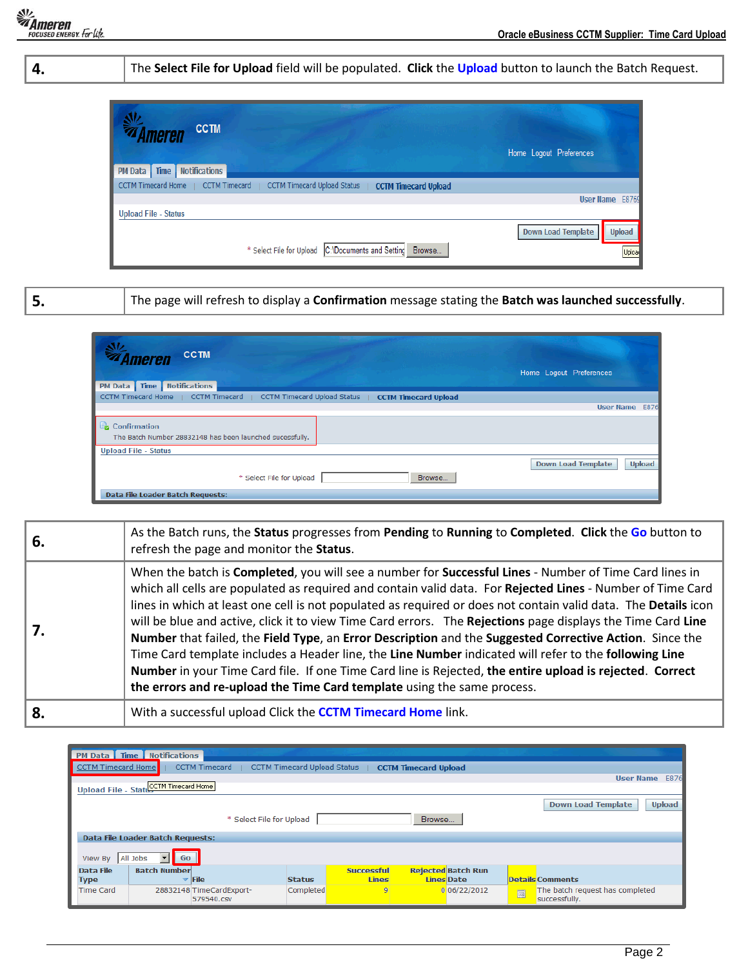|                                                                                         | The Select File for Upload field will be populated. Click the Upload button to launch the Batch Request. |  |  |  |  |  |  |  |  |  |  |
|-----------------------------------------------------------------------------------------|----------------------------------------------------------------------------------------------------------|--|--|--|--|--|--|--|--|--|--|
| <b>CCTM</b>                                                                             |                                                                                                          |  |  |  |  |  |  |  |  |  |  |
| <b>PM Data</b>   Time   Notifications                                                   | Home Logout Preferences                                                                                  |  |  |  |  |  |  |  |  |  |  |
| CCTM Timecard Home   CCTM Timecard   CCTM Timecard Upload Status   CCTM Timecard Upload |                                                                                                          |  |  |  |  |  |  |  |  |  |  |
| <b>Upload File - Status</b>                                                             | User Name E8769                                                                                          |  |  |  |  |  |  |  |  |  |  |
| * Select File for Upload C:\Documents and Setting Browse                                | <b>Upload</b><br>Down Load Template<br>Upload                                                            |  |  |  |  |  |  |  |  |  |  |

**5.** The page will refresh to display a **Confirmation** message stating the **Batch was launched successfully**.

| <b>CCTM</b><br><i><b>Ameren</b></i><br><b>PM Data</b> Time Notifications                           | Home Logout Preferences                    |
|----------------------------------------------------------------------------------------------------|--------------------------------------------|
| CCTM Timecard Home   CCTM Timecard  <br>CCTM Timecard Upload Status<br><b>CCTM Timecard Upload</b> |                                            |
|                                                                                                    | User Name E876                             |
| å.<br>Confirmation<br>The Batch Number 28832148 has been launched sucessfully.                     |                                            |
| <b>Upload File - Status</b>                                                                        |                                            |
| * Select File for Upload<br>Browse                                                                 | <b>Down Load Template</b><br><b>Upload</b> |
| Data File Loader Batch Requests:                                                                   |                                            |

| 6. | As the Batch runs, the Status progresses from Pending to Running to Completed. Click the Go button to<br>refresh the page and monitor the Status.                                                                                                                                                                                                                                                                                                                                                                                                                                                                                                                                                                                                                                                                                                                |
|----|------------------------------------------------------------------------------------------------------------------------------------------------------------------------------------------------------------------------------------------------------------------------------------------------------------------------------------------------------------------------------------------------------------------------------------------------------------------------------------------------------------------------------------------------------------------------------------------------------------------------------------------------------------------------------------------------------------------------------------------------------------------------------------------------------------------------------------------------------------------|
| 7. | When the batch is Completed, you will see a number for Successful Lines - Number of Time Card lines in<br>which all cells are populated as required and contain valid data. For Rejected Lines - Number of Time Card<br>lines in which at least one cell is not populated as required or does not contain valid data. The Details icon<br>will be blue and active, click it to view Time Card errors. The Rejections page displays the Time Card Line<br>Number that failed, the Field Type, an Error Description and the Suggested Corrective Action. Since the<br>Time Card template includes a Header line, the Line Number indicated will refer to the following Line<br>Number in your Time Card file. If one Time Card line is Rejected, the entire upload is rejected. Correct<br>the errors and re-upload the Time Card template using the same process. |
| 8. | With a successful upload Click the <b>CCTM Timecard Home</b> link.                                                                                                                                                                                                                                                                                                                                                                                                                                                                                                                                                                                                                                                                                                                                                                                               |

|                                            | <b>PM Data   Time   Notifications</b>                                                                                  |                                        |               |                   |  |                           |   |                                                  |  |  |  |  |  |  |
|--------------------------------------------|------------------------------------------------------------------------------------------------------------------------|----------------------------------------|---------------|-------------------|--|---------------------------|---|--------------------------------------------------|--|--|--|--|--|--|
|                                            | <b>CCTM Timecard Home</b><br><b>CCTM Timecard Upload Status</b><br><b>CCTM Timecard</b><br><b>CCTM Timecard Upload</b> |                                        |               |                   |  |                           |   |                                                  |  |  |  |  |  |  |
|                                            | <b>User Name</b><br>E876                                                                                               |                                        |               |                   |  |                           |   |                                                  |  |  |  |  |  |  |
| Upload File - StatusCTM Timecard Home      |                                                                                                                        |                                        |               |                   |  |                           |   |                                                  |  |  |  |  |  |  |
| <b>Upload</b><br><b>Down Load Template</b> |                                                                                                                        |                                        |               |                   |  |                           |   |                                                  |  |  |  |  |  |  |
| Browse<br>* Select File for Upload         |                                                                                                                        |                                        |               |                   |  |                           |   |                                                  |  |  |  |  |  |  |
|                                            | Data File Loader Batch Requests:                                                                                       |                                        |               |                   |  |                           |   |                                                  |  |  |  |  |  |  |
| View By                                    | All Jobs<br>Go<br>▼                                                                                                    |                                        |               |                   |  |                           |   |                                                  |  |  |  |  |  |  |
| Data File                                  | <b>Batch Number</b>                                                                                                    |                                        |               | <b>Successful</b> |  | <b>Rejected Batch Run</b> |   |                                                  |  |  |  |  |  |  |
| <b>Type</b>                                |                                                                                                                        | <b>File</b>                            | <b>Status</b> | <b>Lines</b>      |  | <b>Lines Date</b>         |   | <b>Details Comments</b>                          |  |  |  |  |  |  |
| <b>Time Card</b>                           |                                                                                                                        | 28832148 TimeCardExport-<br>579540.csv | Completed     | 9                 |  | 006/22/2012               | 圓 | The batch request has completed<br>successfully. |  |  |  |  |  |  |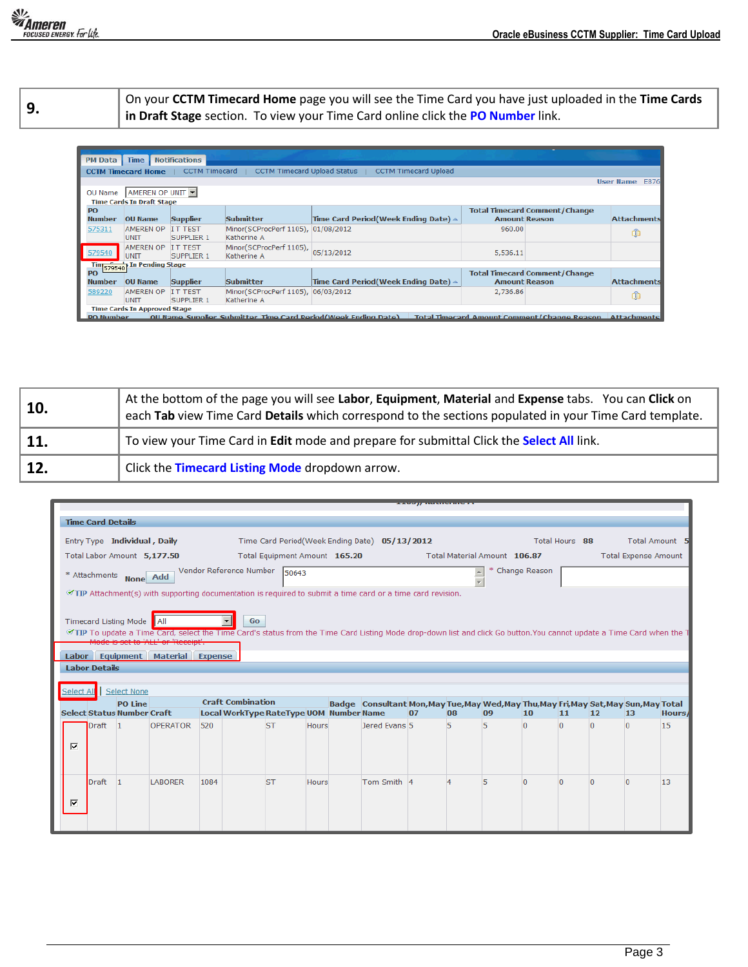**9.** On your **CCTM Timecard Home** page you will see the Time Card you have just uploaded in the **Time Cards in Draft Stage** section. To view your Time Card online click the **PO Number** link.

| PM Data Time               |                                     | <b>Notifications</b>                |                                                   |                                                                                                                        |          |                                                              |                          |
|----------------------------|-------------------------------------|-------------------------------------|---------------------------------------------------|------------------------------------------------------------------------------------------------------------------------|----------|--------------------------------------------------------------|--------------------------|
|                            | <b>CCTM Timecard Home</b>           | CCTM Timecard                       | <b>CCTM Timecard Upload Status</b>                | <b>CCTM Timecard Upload</b>                                                                                            |          |                                                              |                          |
|                            |                                     |                                     |                                                   |                                                                                                                        |          |                                                              | <b>User Name</b><br>E876 |
| OU Name                    | AMEREN OP UNIT                      |                                     |                                                   |                                                                                                                        |          |                                                              |                          |
|                            | <b>Time Cards In Draft Stage</b>    |                                     |                                                   |                                                                                                                        |          |                                                              |                          |
| <b>PO</b><br><b>Number</b> | <b>OU Name</b>                      | <b>Supplier</b>                     | Submitter                                         | Time Card Period (Week Ending Date) $\triangle$                                                                        |          | <b>Total Timecard Comment/Change</b><br><b>Amount Reason</b> | <b>Attachments</b>       |
| 575311                     | <b>AMEREN OP</b><br><b>UNIT</b>     | IT TEST<br><b>SUPPLIER 1</b>        | Minor(SCProcPerf 1105), 01/08/2012<br>Katherine A |                                                                                                                        | 960.00   |                                                              | ⋒                        |
| 579540                     | <b>AMEREN OP</b><br><b>UNIT</b>     | <b>IT TEST</b><br><b>SUPPLIER 1</b> | Minor(SCProcPerf 1105),<br>Katherine A            | 05/13/2012                                                                                                             | 5,536.11 |                                                              |                          |
|                            | Tin 579540 In Pending Stage         |                                     |                                                   |                                                                                                                        |          |                                                              |                          |
|                            |                                     |                                     |                                                   |                                                                                                                        |          | <b>Total Timecard Comment/Change</b>                         |                          |
| <b>Number</b>              | <b>OU Name</b>                      | <b>Supplier</b>                     | Submitter                                         | Time Card Period(Week Ending Date) $\triangle$                                                                         |          | <b>Amount Reason</b>                                         | <b>Attachments</b>       |
| 589220                     | <b>AMEREN OP</b><br><b>UNIT</b>     | <b>IT TEST</b><br><b>SUPPLIER 1</b> | Minor(SCProcPerf 1105), 06/03/2012<br>Katherine A |                                                                                                                        | 2,736.86 |                                                              | ⋒                        |
|                            | <b>Time Cards In Approved Stage</b> |                                     |                                                   |                                                                                                                        |          |                                                              |                          |
| <b>PO Number</b>           |                                     |                                     |                                                   | Oll Name Sunnlier Suhmitter Time Card Period(Week Ending Date) Total Timecard Amount Comment/Change Reason Attachments |          |                                                              |                          |

| 10. | At the bottom of the page you will see Labor, Equipment, Material and Expense tabs. You can Click on<br>each Tab view Time Card Details which correspond to the sections populated in your Time Card template. |
|-----|----------------------------------------------------------------------------------------------------------------------------------------------------------------------------------------------------------------|
| 11. | To view your Time Card in Edit mode and prepare for submittal Click the Select All link.                                                                                                                       |
| 12. | Click the Timecard Listing Mode dropdown arrow.                                                                                                                                                                |

|                             |                                                                                                            |                          |                                   |                                                                                                                                                                                                            |      |                                         |                               |              |  |                                                                                       | <b>Production of the Association Community</b> |    |                              |               |                |          |                             |        |
|-----------------------------|------------------------------------------------------------------------------------------------------------|--------------------------|-----------------------------------|------------------------------------------------------------------------------------------------------------------------------------------------------------------------------------------------------------|------|-----------------------------------------|-------------------------------|--------------|--|---------------------------------------------------------------------------------------|------------------------------------------------|----|------------------------------|---------------|----------------|----------|-----------------------------|--------|
|                             |                                                                                                            | <b>Time Card Details</b> |                                   |                                                                                                                                                                                                            |      |                                         |                               |              |  |                                                                                       |                                                |    |                              |               |                |          |                             |        |
|                             |                                                                                                            |                          | Entry Type Individual, Daily      |                                                                                                                                                                                                            |      |                                         |                               |              |  | Time Card Period(Week Ending Date) 05/13/2012                                         |                                                |    |                              |               | Total Hours 88 |          | Total Amount 5              |        |
| Total Labor Amount 5,177.50 |                                                                                                            |                          |                                   |                                                                                                                                                                                                            |      |                                         | Total Equipment Amount 165.20 |              |  |                                                                                       |                                                |    | Total Material Amount 106.87 |               |                |          | <b>Total Expense Amount</b> |        |
|                             | Vendor Reference Number<br>* Attachments None Add                                                          |                          |                                   |                                                                                                                                                                                                            |      |                                         | 50643                         |              |  |                                                                                       |                                                |    |                              | Change Reason |                |          |                             |        |
|                             | TIP Attachment(s) with supporting documentation is required to submit a time card or a time card revision. |                          |                                   |                                                                                                                                                                                                            |      |                                         |                               |              |  |                                                                                       |                                                |    |                              |               |                |          |                             |        |
|                             |                                                                                                            |                          |                                   |                                                                                                                                                                                                            |      |                                         |                               |              |  |                                                                                       |                                                |    |                              |               |                |          |                             |        |
|                             |                                                                                                            |                          | Timecard Listing Mode    All      |                                                                                                                                                                                                            |      | <b>Go</b>                               |                               |              |  |                                                                                       |                                                |    |                              |               |                |          |                             |        |
|                             |                                                                                                            |                          |                                   | TIP To update a Time Card, select the Time Card's status from the Time Card Listing Mode drop-down list and click Go button. You cannot update a Time Card when the T<br>Mode is set to 'ALL' or 'Receipt' |      |                                         |                               |              |  |                                                                                       |                                                |    |                              |               |                |          |                             |        |
|                             |                                                                                                            |                          |                                   | Labor Equipment Material Expense                                                                                                                                                                           |      |                                         |                               |              |  |                                                                                       |                                                |    |                              |               |                |          |                             |        |
|                             |                                                                                                            | <b>Labor Details</b>     |                                   |                                                                                                                                                                                                            |      |                                         |                               |              |  |                                                                                       |                                                |    |                              |               |                |          |                             |        |
|                             |                                                                                                            |                          |                                   |                                                                                                                                                                                                            |      |                                         |                               |              |  |                                                                                       |                                                |    |                              |               |                |          |                             |        |
|                             |                                                                                                            |                          | Select None                       |                                                                                                                                                                                                            |      |                                         |                               |              |  |                                                                                       |                                                |    |                              |               |                |          |                             |        |
|                             |                                                                                                            |                          | <b>PO Line</b>                    |                                                                                                                                                                                                            |      | <b>Craft Combination</b>                |                               |              |  | Badge Consultant Mon, May Tue, May Wed, May Thu, May Fri, May Sat, May Sun, May Total |                                                |    |                              |               |                |          |                             |        |
|                             |                                                                                                            |                          | <b>Select Status Number Craft</b> |                                                                                                                                                                                                            |      | Local WorkType RateType UOM Number Name |                               |              |  |                                                                                       | 07                                             | 08 | 09                           | 10            | 11             | $12$     | 13                          | Hours/ |
|                             |                                                                                                            | Draft 1                  |                                   | <b>OPERATOR</b>                                                                                                                                                                                            | 520  |                                         | <b>ST</b>                     | <b>Hours</b> |  | Jered Evans 5                                                                         |                                                | 5  | 5                            | $\Omega$      | 0              | $\Omega$ | $\Omega$                    | 15     |
|                             | ⊽                                                                                                          |                          |                                   |                                                                                                                                                                                                            |      |                                         |                               |              |  |                                                                                       |                                                |    |                              |               |                |          |                             |        |
|                             |                                                                                                            |                          |                                   |                                                                                                                                                                                                            |      |                                         |                               |              |  |                                                                                       |                                                |    |                              |               |                |          |                             |        |
|                             |                                                                                                            |                          |                                   |                                                                                                                                                                                                            |      |                                         |                               |              |  |                                                                                       |                                                |    |                              |               |                |          |                             |        |
|                             |                                                                                                            | Draft                    | 11                                | <b>LABORER</b>                                                                                                                                                                                             | 1084 |                                         | <b>ST</b>                     | <b>Hours</b> |  | Tom Smith 4                                                                           |                                                |    | 5                            | $\Omega$      | o              | n        | $\Omega$                    | 13     |
|                             | ⊽                                                                                                          |                          |                                   |                                                                                                                                                                                                            |      |                                         |                               |              |  |                                                                                       |                                                |    |                              |               |                |          |                             |        |
|                             |                                                                                                            |                          |                                   |                                                                                                                                                                                                            |      |                                         |                               |              |  |                                                                                       |                                                |    |                              |               |                |          |                             |        |
|                             |                                                                                                            |                          |                                   |                                                                                                                                                                                                            |      |                                         |                               |              |  |                                                                                       |                                                |    |                              |               |                |          |                             |        |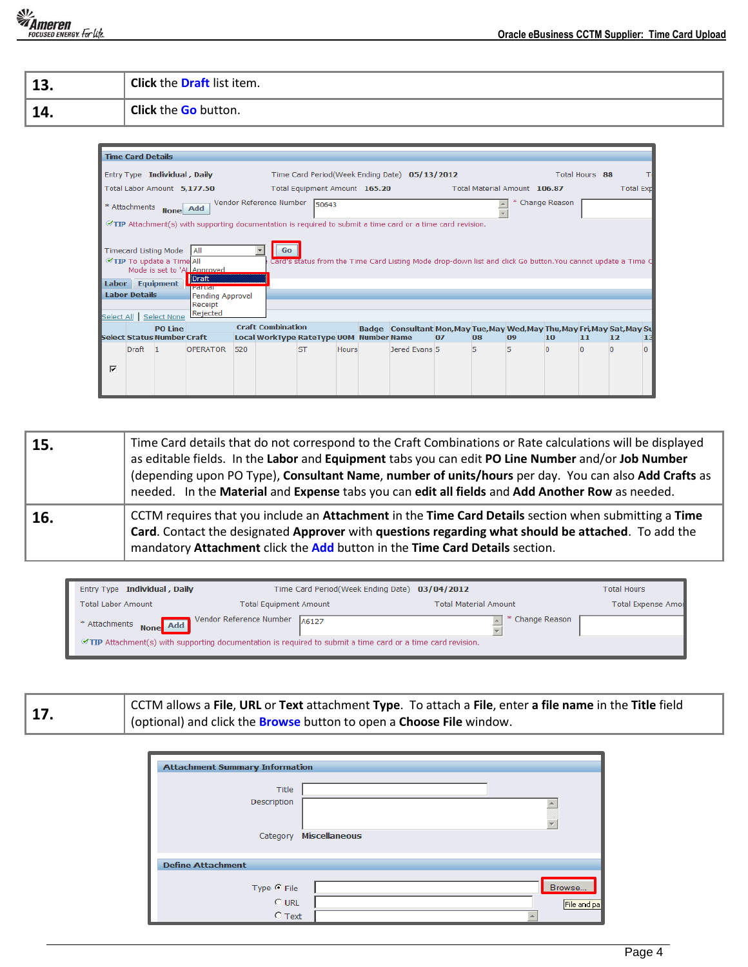*The Card Upload*<br>  **Oracle eBusiness CCTM Supplier: Time Card Upload**<br> **COUSED ENERGY.** For EXPLICE.

| - 1. 3<br>∸J. | <b>Click the Draft list item.</b> |
|---------------|-----------------------------------|
| <b>1</b>      | <b>Click the Go button.</b>       |

|                             | <b>Time Card Details</b> |                                                                             |                                                                                                            |     |                                                                     |                               |              |                                                                                                              |    |    |                              |                 |                |                  |    |
|-----------------------------|--------------------------|-----------------------------------------------------------------------------|------------------------------------------------------------------------------------------------------------|-----|---------------------------------------------------------------------|-------------------------------|--------------|--------------------------------------------------------------------------------------------------------------|----|----|------------------------------|-----------------|----------------|------------------|----|
|                             |                          | Entry Type Individual, Daily                                                |                                                                                                            |     |                                                                     |                               |              | Time Card Period(Week Ending Date) 05/13/2012                                                                |    |    |                              |                 | Total Hours 88 |                  |    |
| Total Labor Amount 5,177.50 |                          |                                                                             |                                                                                                            |     |                                                                     | Total Equipment Amount 165.20 |              |                                                                                                              |    |    | Total Material Amount 106.87 |                 |                | <b>Total Exp</b> |    |
|                             |                          | * Attachments None                                                          | Add                                                                                                        |     | Vendor Reference Number                                             | 50643                         |              |                                                                                                              |    |    |                              | * Change Reason |                |                  |    |
|                             |                          |                                                                             | TIP Attachment(s) with supporting documentation is required to submit a time card or a time card revision. |     |                                                                     |                               |              |                                                                                                              |    |    |                              |                 |                |                  |    |
|                             |                          | <b>Timecard Listing Mode</b><br>TIP To update a Time All<br>Labor Equipment | All<br>Mode is set to 'AL Approved<br><b>Draft</b>                                                         |     | Go<br>▼                                                             |                               |              | Card's status from the Time Card Listing Mode drop-down list and click Go button. You cannot update a Time C |    |    |                              |                 |                |                  |    |
|                             |                          |                                                                             | <b>INSCIENCIE</b>                                                                                          |     |                                                                     |                               |              |                                                                                                              |    |    |                              |                 |                |                  |    |
|                             | <b>Labor Details</b>     |                                                                             | Pending Approval<br>Receipt                                                                                |     |                                                                     |                               |              |                                                                                                              |    |    |                              |                 |                |                  |    |
|                             |                          | Select All Select None                                                      | Rejected                                                                                                   |     |                                                                     |                               |              |                                                                                                              |    |    |                              |                 |                |                  |    |
|                             |                          | <b>PO Line</b><br><b>Select Status Number Craft</b>                         |                                                                                                            |     | <b>Craft Combination</b><br>Local WorkType RateType UOM Number Name |                               |              | Badge Consultant Mon, May Tue, May Wed, May Thu, May Fri, May Sat, May Su                                    | 07 | 08 | 09                           | 10              | 11             | 12               | 13 |
|                             | <b>Draft</b>             | $\blacksquare$                                                              | <b>OPERATOR</b>                                                                                            | 520 |                                                                     | <b>ST</b>                     | <b>Hours</b> | Jered Evans 5                                                                                                |    | 5  | 5                            |                 |                |                  |    |
| ⊽                           |                          |                                                                             |                                                                                                            |     |                                                                     |                               |              |                                                                                                              |    |    |                              |                 |                |                  |    |

| 15. | Time Card details that do not correspond to the Craft Combinations or Rate calculations will be displayed<br>as editable fields. In the Labor and Equipment tabs you can edit PO Line Number and/or Job Number<br>(depending upon PO Type), Consultant Name, number of units/hours per day. You can also Add Crafts as<br>needed. In the Material and Expense tabs you can edit all fields and Add Another Row as needed. |
|-----|---------------------------------------------------------------------------------------------------------------------------------------------------------------------------------------------------------------------------------------------------------------------------------------------------------------------------------------------------------------------------------------------------------------------------|
| 16. | CCTM requires that you include an Attachment in the Time Card Details section when submitting a Time<br>Card. Contact the designated Approver with questions regarding what should be attached. To add the<br>mandatory Attachment click the Add button in the Time Card Details section.                                                                                                                                 |

| Entry Type Individual, Daily                                                                               | Time Card Period(Week Ending Date) 03/04/2012                        |                              | <b>Total Hours</b>        |  |  |  |
|------------------------------------------------------------------------------------------------------------|----------------------------------------------------------------------|------------------------------|---------------------------|--|--|--|
| <b>Total Labor Amount</b>                                                                                  | <b>Total Equipment Amount</b>                                        | <b>Total Material Amount</b> | <b>Total Expense Amou</b> |  |  |  |
|                                                                                                            | * Attachments <b>None</b> Add Vendor Reference Number $\sqrt{46127}$ | * Change Reason              |                           |  |  |  |
| TIP Attachment(s) with supporting documentation is required to submit a time card or a time card revision. |                                                                      |                              |                           |  |  |  |

**17.** CCTM allows a **File**, **URL** or **Text** attachment **Type**. To attach a **File**, enter **a file name** in the **Title** field (optional) and click the **Browse** button to open a **Choose File** window.

| <b>Attachment Summary Information</b> |                      |             |
|---------------------------------------|----------------------|-------------|
|                                       |                      |             |
| Title                                 |                      |             |
| Description                           |                      |             |
|                                       |                      |             |
|                                       |                      | ÷           |
| Category                              | <b>Miscellaneous</b> |             |
|                                       |                      |             |
| <b>Define Attachment</b>              |                      |             |
|                                       |                      |             |
| Type $\odot$ File                     |                      | Browse      |
|                                       |                      |             |
| $O$ URL                               |                      | File and pa |
| $C$ Text                              |                      |             |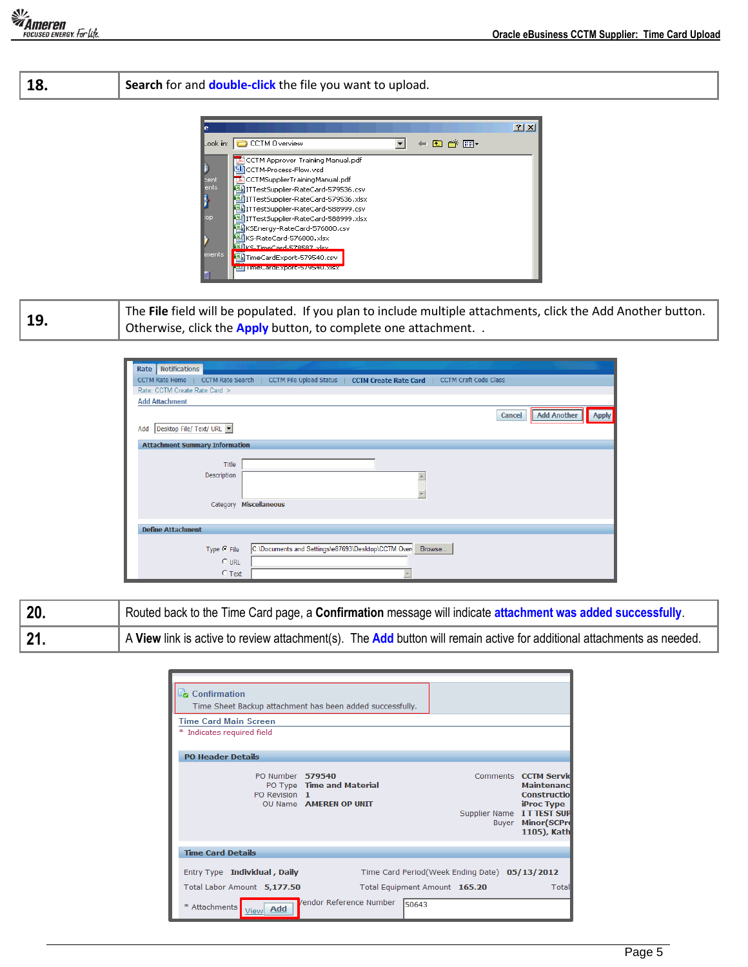## **18. Search** for and **double-click** the file you want to upload.



**19.** The **File** field will be populated. If you plan to include multiple attachments, click the Add Another button. Otherwise, click the **Apply** button, to complete one attachment. .

| <b>Notifications</b><br>Rate                                                                                              |
|---------------------------------------------------------------------------------------------------------------------------|
| CCTM File Upload Status   CCTM Create Rate Card  <br><b>CCTM Craft Code Class</b><br>CCTM Rate Search  <br>CCTM Rate Home |
| Rate: CCTM Create Rate Card >                                                                                             |
| <b>Add Attachment</b>                                                                                                     |
| <b>Add Another</b><br>Apply<br>Cancel                                                                                     |
| Desktop File/ Text/ URL<br>Add                                                                                            |
| <b>Attachment Summary Information</b>                                                                                     |
|                                                                                                                           |
| Title                                                                                                                     |
| Description                                                                                                               |
|                                                                                                                           |
|                                                                                                                           |
| Category Miscellaneous                                                                                                    |
|                                                                                                                           |
| <b>Define Attachment</b>                                                                                                  |
|                                                                                                                           |
| C:\Documents and Settings\e87693\Desktop\CCTM Over<br>Type C File<br>Browse                                               |
| $C$ URL                                                                                                                   |
| $C$ Text                                                                                                                  |

| $\vert$ 20. | Routed back to the Time Card page, a Confirmation message will indicate attachment was added successfully.             |  |  |  |  |  |  |
|-------------|------------------------------------------------------------------------------------------------------------------------|--|--|--|--|--|--|
| $\vert$ 21. | A View link is active to review attachment(s). The Add button will remain active for additional attachments as needed. |  |  |  |  |  |  |

| Confirmation<br>Time Sheet Backup attachment has been added successfully.<br><b>Time Card Main Screen</b><br>Indicates required field |                                                     |                                                                                |       |                                                                                                                                                          |
|---------------------------------------------------------------------------------------------------------------------------------------|-----------------------------------------------------|--------------------------------------------------------------------------------|-------|----------------------------------------------------------------------------------------------------------------------------------------------------------|
| <b>PO Header Details</b>                                                                                                              |                                                     |                                                                                |       |                                                                                                                                                          |
| PO Number 579540<br>PO Revision 1                                                                                                     | PO Type Time and Material<br>OU Name AMEREN OP UNIT |                                                                                | Buyer | Comments <b>CCTM Servid</b><br><b>Maintenand</b><br><b>Constructiol</b><br>iProc Type<br>Supplier Name IT TEST SUP<br><b>Minor</b> (SCPrd<br>1105), Kath |
| <b>Time Card Details</b>                                                                                                              |                                                     |                                                                                |       |                                                                                                                                                          |
| Entry Type Individual, Daily<br>Total Labor Amount 5,177.50                                                                           |                                                     | Time Card Period(Week Ending Date) 05/13/2012<br>Total Equipment Amount 165.20 |       | Total                                                                                                                                                    |
| * Attachments<br>Add                                                                                                                  | <b>/endor Reference Number</b>                      | 50643                                                                          |       |                                                                                                                                                          |